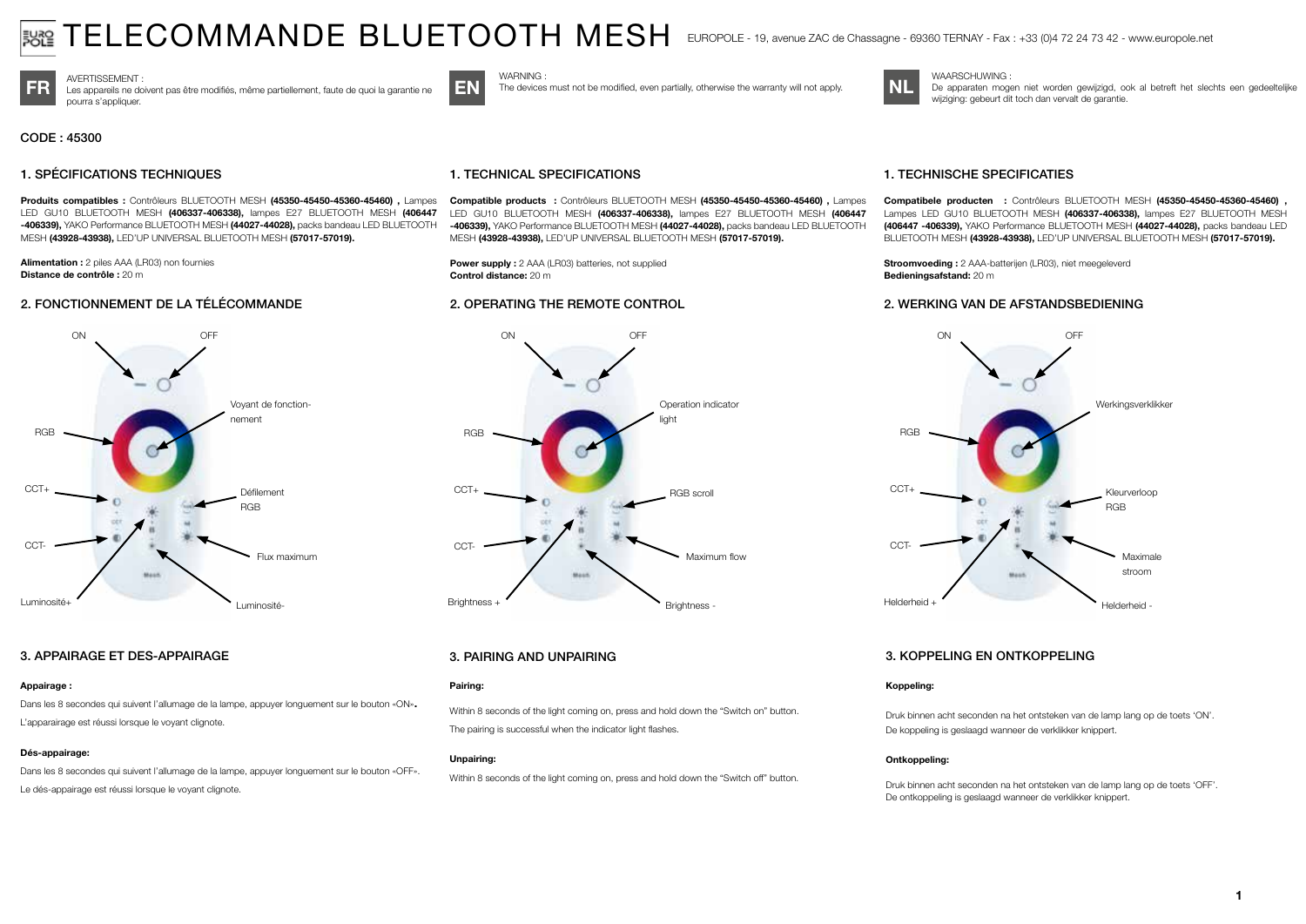# $\mathsf{TELECONMMANDE\ BLUETOOTH\ MESH\;\;\mathsf{ENDPOLE-19},$  avenue ZAC de Chassagne - 69360 TERNAY - Fax : +33 (0)4 72 24 73 42 - www.europole.net

WAARSCHUWING :



FR Les appareils ne doivent pas être modifiés, même partiellement, faute de quoi la garantie ne EN The devices must not be modified, even partially, otherwise the warranty will not apply. pourra s'appliquer.

CODE : 45300

# 1. SPÉCIFICATIONS TECHNIQUES

Produits compatibles : Contrôleurs BLUETOOTH MESH (45350-45450-45360-45460) , Lampes LED GU10 BLUETOOTH MESH (406337-406338), lampes E27 BLUETOOTH MESH (406447 -406339), YAKO Performance BLUETOOTH MESH (44027-44028), packs bandeau LED BLUETOOTH MESH (43928-43938), LED'UP UNIVERSAL BLUETOOTH MESH (57017-57019).

Alimentation : 2 piles AAA (LR03) non fournies Distance de contrôle : 20 m

# 2. FONCTIONNEMENT DE LA TÉLÉCOMMANDE



#### 3. APPAIRAGE ET DES-APPAIRAGE

## Appairage :

Dans les 8 secondes qui suivent l'allumage de la lampe, appuyer longuement sur le bouton «ON». L'apparairage est réussi lorsque le voyant clignote.

#### Dés-appairage:

Dans les 8 secondes qui suivent l'allumage de la lampe, appuyer longuement sur le bouton «OFF». Le dés-appairage est réussi lorsque le voyant clignote.



**WARNING** 

Compatible products : Contrôleurs BLUETOOTH MESH (45350-45450-45360-45460) , Lampes LED GU10 BLUETOOTH MESH (406337-406338), lampes E27 BLUETOOTH MESH (406447 -406339), YAKO Performance BLUETOOTH MESH (44027-44028), packs bandeau LED BLUETOOTH MESH (43928-43938), LED'UP UNIVERSAL BLUETOOTH MESH (57017-57019).

The devices must not be modified, even partially, otherwise the warranty will not apply.

Power supply : 2 AAA (LR03) batteries, not supplied Control distance: 20 m

## 2. OPERATING THE REMOTE CONTROL



# 3. PAIRING AND UNPAIRING

#### Pairing:

Within 8 seconds of the light coming on, press and hold down the "Switch on" button. The pairing is successful when the indicator light flashes.

#### Unpairing:

Within 8 seconds of the light coming on, press and hold down the "Switch off" button.

# 1. TECHNISCHE SPECIFICATIES

Compatibele producten : Contrôleurs BLUETOOTH MESH (45350-45450-45360-45460) , Lampes LED GU10 BLUETOOTH MESH (406337-406338), lampes E27 BLUETOOTH MESH (406447 -406339), YAKO Performance BLUETOOTH MESH (44027-44028), packs bandeau LED BLUETOOTH MESH (43928-43938), LED'UP UNIVERSAL BLUETOOTH MESH (57017-57019).

De apparaten mogen niet worden gewijzigd, ook al betreft het slechts een gedeeltelijke

Stroomvoeding : 2 AAA-batterijen (LR03), niet meegeleverd Bedieningsafstand: 20 m

wijziging: gebeurt dit toch dan vervalt de garantie.

## 2. WERKING VAN DE AFSTANDSBEDIENING



# 3. KOPPELING EN ONTKOPPELING

#### Koppeling:

Druk binnen acht seconden na het ontsteken van de lamp lang op de toets 'ON'. De koppeling is geslaagd wanneer de verklikker knippert.

#### Ontkoppeling:

Druk binnen acht seconden na het ontsteken van de lamp lang op de toets 'OFF'. De ontkoppeling is geslaagd wanneer de verklikker knippert.